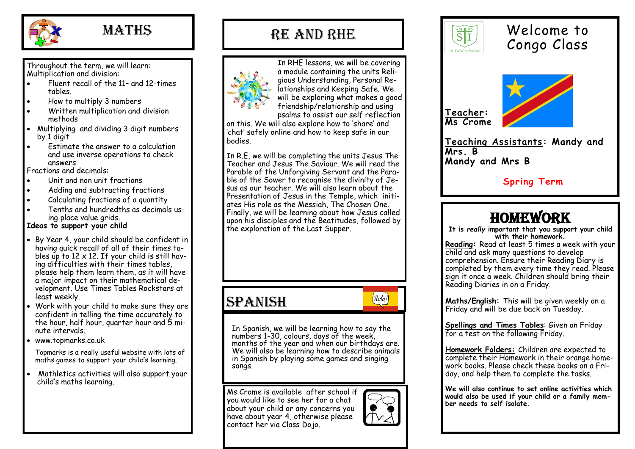

### **MATHS**

Throughout the term, we will learn: Multiplication and division:

- Fluent recall of the 11– and 12-times tables.
- How to multiply 3 numbers
- Written multiplication and division methods
- Multiplying and dividing 3 digit numbers by 1 digit
- Estimate the answer to a calculation and use inverse operations to check answers

Fractions and decimals:

- Unit and non unit fractions
- Adding and subtracting fractions
- Calculating fractions of a quantity
- Tenths and hundredths as decimals using place value grids.

#### **Ideas to support your child**

- By Year 4, your child should be confident in having quick recall of all of their times tables up to  $12 \times 12$ . If your child is still having difficulties with their times tables, please help them learn them, as it will have a major impact on their mathematical development. Use Times Tables Rockstars at least weekly.
- Work with your child to make sure they are confident in telling the time accurately to the hour, half hour, quarter hour and 5 minute intervals.
- www.topmarks.co.uk

Topmarks is a really useful website with lots of maths games to support your child's learning.

 Mathletics activities will also support your child's maths learning.

### RE and RHE



In RHE lessons, we will be covering a module containing the units Religious Understanding, Personal Relationships and Keeping Safe. We will be exploring what makes a good friendship/relationship and using psalms to assist our self reflection

on this. We will also explore how to 'share' and 'chat' safely online and how to keep safe in our bodies.

In R.E, we will be completing the units Jesus The Teacher and Jesus The Saviour. We will read the Parable of the Unforgiving Servant and the Parable of the Sower to recognise the divinity of Jesus as our teacher. We will also learn about the Presentation of Jesus in the Temple, which initiates His role as the Messiah, The Chosen One. Finally, we will be learning about how Jesus called upon his disciples and the Beatitudes, followed by the exploration of the Last Supper.

### SPANISH

 $\lbrack \mathit{Hola} \rbrack$ 

In Spanish, we will be learning how to say the numbers 1-30, colours, days of the week, months of the year and when our birthdays are. We will also be learning how to describe animals in Spanish by playing some games and singing songs.

Ms Crome is available after school if you would like to see her for a chat about your child or any concerns you have about year 4, otherwise please contact her via Class Dojo.





### Welcome to Congo Class



**Teaching Assistants: Mandy and Mrs. B Mandy and Mrs B**

### **Spring Term**

## **HOMEWORK**

**It is** *really* **important that you support your child with their homework. Reading:** Read at least 5 times a week with your

child and ask many questions to develop comprehension. Ensure their Reading Diary is completed by them every time they read. Please sign it once a week. Children should bring their Reading Diaries in on a Friday.

**Maths/English:** This will be given weekly on a Friday and will be due back on Tuesday.

**Spellings and Times Tables**: Given on Friday for a test on the following Friday.

**Homework Folders:** Children are expected to complete their Homework in their orange homework books. Please check these books on a Friday, and help them to complete the tasks.

**We will also continue to set online activities which would also be used if your child or a family member needs to self isolate.**